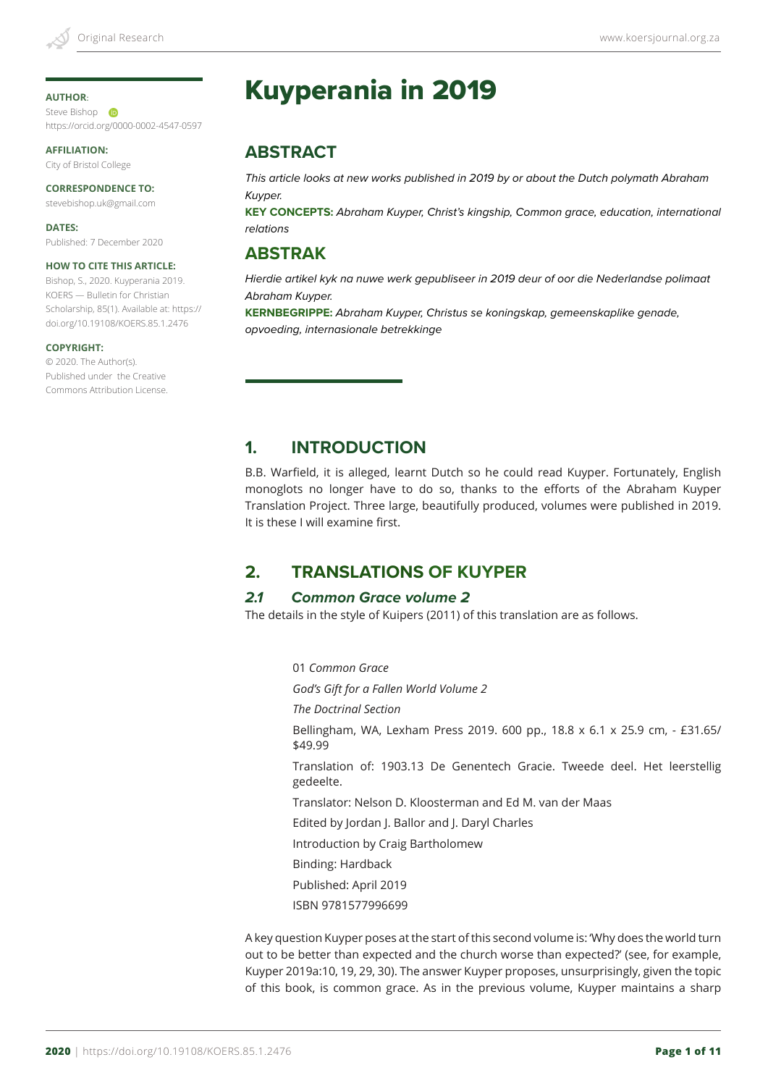#### **AUTHOR**:

Steve Bishop **D** https://orcid.org/0000-0002-4547-0597

**AFFILIATION:** City of Bristol College

#### **CORRESPONDENCE TO:**

stevebishop.uk@gmail.com

**DATES:** Published: 7 December 2020

#### **HOW TO CITE THIS ARTICLE:**

Bishop, S., 2020. Kuyperania 2019. KOERS — Bulletin for Christian Scholarship, 85(1). Available at: https:// doi.org/10.19108/KOERS.85.1.2476

#### **COPYRIGHT:**

© 2020. The Author(s). Published under the Creative Commons Attribution License.

# Kuyperania in 2019

# **ABSTRACT**

*This article looks at new works published in 2019 by or about the Dutch polymath Abraham Kuyper.*

**KEY CONCEPTS:** *Abraham Kuyper, Christ's kingship, Common grace, education, international relations*

### **ABSTRAK**

*Hierdie artikel kyk na nuwe werk gepubliseer in 2019 deur of oor die Nederlandse polimaat Abraham Kuyper.* 

**KERNBEGRIPPE:** *Abraham Kuyper, Christus se koningskap, gemeenskaplike genade, opvoeding, internasionale betrekkinge*

## **1. INTRODUCTION**

B.B. Warfield, it is alleged, learnt Dutch so he could read Kuyper. Fortunately, English monoglots no longer have to do so, thanks to the efforts of the Abraham Kuyper Translation Project. Three large, beautifully produced, volumes were published in 2019. It is these I will examine first.

# **2. TRANSLATIONS OF KUYPER**

#### *2.1 Common Grace volume 2*

The details in the style of Kuipers (2011) of this translation are as follows.

01 *Common Grace God's Gift for a Fallen World Volume 2 The Doctrinal Section* Bellingham, WA, Lexham Press 2019. 600 pp., 18.8 x 6.1 x 25.9 cm, - £31.65/ \$49.99 Translation of: 1903.13 De Genentech Gracie. Tweede deel. Het leerstellig gedeelte. Translator: Nelson D. Kloosterman and Ed M. van der Maas Edited by Jordan J. Ballor and J. Daryl Charles Introduction by Craig Bartholomew Binding: Hardback Published: April 2019 ISBN 9781577996699

A key question Kuyper poses at the start of this second volume is: 'Why does the world turn out to be better than expected and the church worse than expected?' (see, for example, Kuyper 2019a:10, 19, 29, 30). The answer Kuyper proposes, unsurprisingly, given the topic of this book, is common grace. As in the previous volume, Kuyper maintains a sharp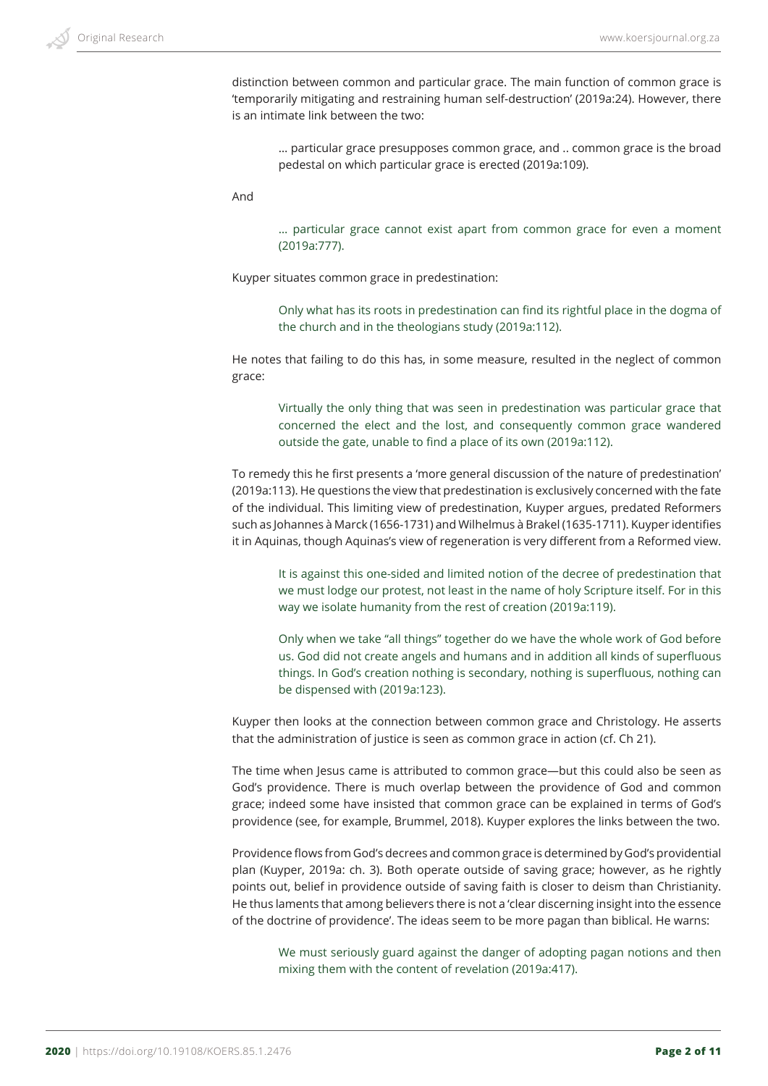

distinction between common and particular grace. The main function of common grace is 'temporarily mitigating and restraining human self-destruction' (2019a:24). However, there is an intimate link between the two:

… particular grace presupposes common grace, and .. common grace is the broad pedestal on which particular grace is erected (2019a:109).

And

… particular grace cannot exist apart from common grace for even a moment (2019a:777).

Kuyper situates common grace in predestination:

Only what has its roots in predestination can find its rightful place in the dogma of the church and in the theologians study (2019a:112).

He notes that failing to do this has, in some measure, resulted in the neglect of common grace:

Virtually the only thing that was seen in predestination was particular grace that concerned the elect and the lost, and consequently common grace wandered outside the gate, unable to find a place of its own (2019a:112).

To remedy this he first presents a 'more general discussion of the nature of predestination' (2019a:113). He questions the view that predestination is exclusively concerned with the fate of the individual. This limiting view of predestination, Kuyper argues, predated Reformers such as Johannes à Marck (1656-1731) and Wilhelmus à Brakel (1635-1711). Kuyper identifies it in Aquinas, though Aquinas's view of regeneration is very different from a Reformed view.

It is against this one-sided and limited notion of the decree of predestination that we must lodge our protest, not least in the name of holy Scripture itself. For in this way we isolate humanity from the rest of creation (2019a:119).

Only when we take "all things" together do we have the whole work of God before us. God did not create angels and humans and in addition all kinds of superfluous things. In God's creation nothing is secondary, nothing is superfluous, nothing can be dispensed with (2019a:123).

Kuyper then looks at the connection between common grace and Christology. He asserts that the administration of justice is seen as common grace in action (cf. Ch 21).

The time when Jesus came is attributed to common grace—but this could also be seen as God's providence. There is much overlap between the providence of God and common grace; indeed some have insisted that common grace can be explained in terms of God's providence (see, for example, Brummel, 2018). Kuyper explores the links between the two.

Providence flows from God's decrees and common grace is determined by God's providential plan (Kuyper, 2019a: ch. 3). Both operate outside of saving grace; however, as he rightly points out, belief in providence outside of saving faith is closer to deism than Christianity. He thus laments that among believers there is not a 'clear discerning insight into the essence of the doctrine of providence'. The ideas seem to be more pagan than biblical. He warns:

We must seriously guard against the danger of adopting pagan notions and then mixing them with the content of revelation (2019a:417).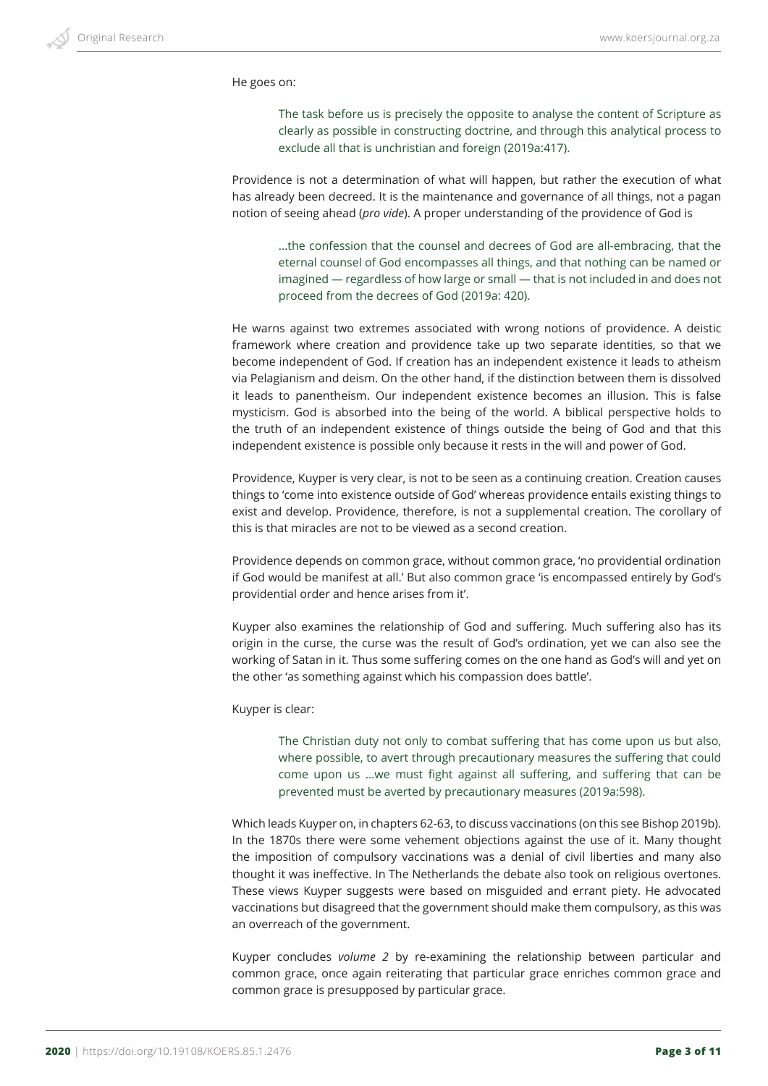He goes on:

The task before us is precisely the opposite to analyse the content of Scripture as clearly as possible in constructing doctrine, and through this analytical process to exclude all that is unchristian and foreign (2019a:417).

Providence is not a determination of what will happen, but rather the execution of what has already been decreed. It is the maintenance and governance of all things, not a pagan notion of seeing ahead (*pro vide*). A proper understanding of the providence of God is

…the confession that the counsel and decrees of God are all-embracing, that the eternal counsel of God encompasses all things, and that nothing can be named or imagined — regardless of how large or small — that is not included in and does not proceed from the decrees of God (2019a: 420).

He warns against two extremes associated with wrong notions of providence. A deistic framework where creation and providence take up two separate identities, so that we become independent of God. If creation has an independent existence it leads to atheism via Pelagianism and deism. On the other hand, if the distinction between them is dissolved it leads to panentheism. Our independent existence becomes an illusion. This is false mysticism. God is absorbed into the being of the world. A biblical perspective holds to the truth of an independent existence of things outside the being of God and that this independent existence is possible only because it rests in the will and power of God.

Providence, Kuyper is very clear, is not to be seen as a continuing creation. Creation causes things to 'come into existence outside of God' whereas providence entails existing things to exist and develop. Providence, therefore, is not a supplemental creation. The corollary of this is that miracles are not to be viewed as a second creation.

Providence depends on common grace, without common grace, 'no providential ordination if God would be manifest at all.' But also common grace 'is encompassed entirely by God's providential order and hence arises from it'.

Kuyper also examines the relationship of God and suffering. Much suffering also has its origin in the curse, the curse was the result of God's ordination, yet we can also see the working of Satan in it. Thus some suffering comes on the one hand as God's will and yet on the other 'as something against which his compassion does battle'.

Kuyper is clear:

The Christian duty not only to combat suffering that has come upon us but also, where possible, to avert through precautionary measures the suffering that could come upon us …we must fight against all suffering, and suffering that can be prevented must be averted by precautionary measures (2019a:598).

Which leads Kuyper on, in chapters 62-63, to discuss vaccinations (on this see Bishop 2019b). In the 1870s there were some vehement objections against the use of it. Many thought the imposition of compulsory vaccinations was a denial of civil liberties and many also thought it was ineffective. In The Netherlands the debate also took on religious overtones. These views Kuyper suggests were based on misguided and errant piety. He advocated vaccinations but disagreed that the government should make them compulsory, as this was an overreach of the government.

Kuyper concludes *volume 2* by re-examining the relationship between particular and common grace, once again reiterating that particular grace enriches common grace and common grace is presupposed by particular grace.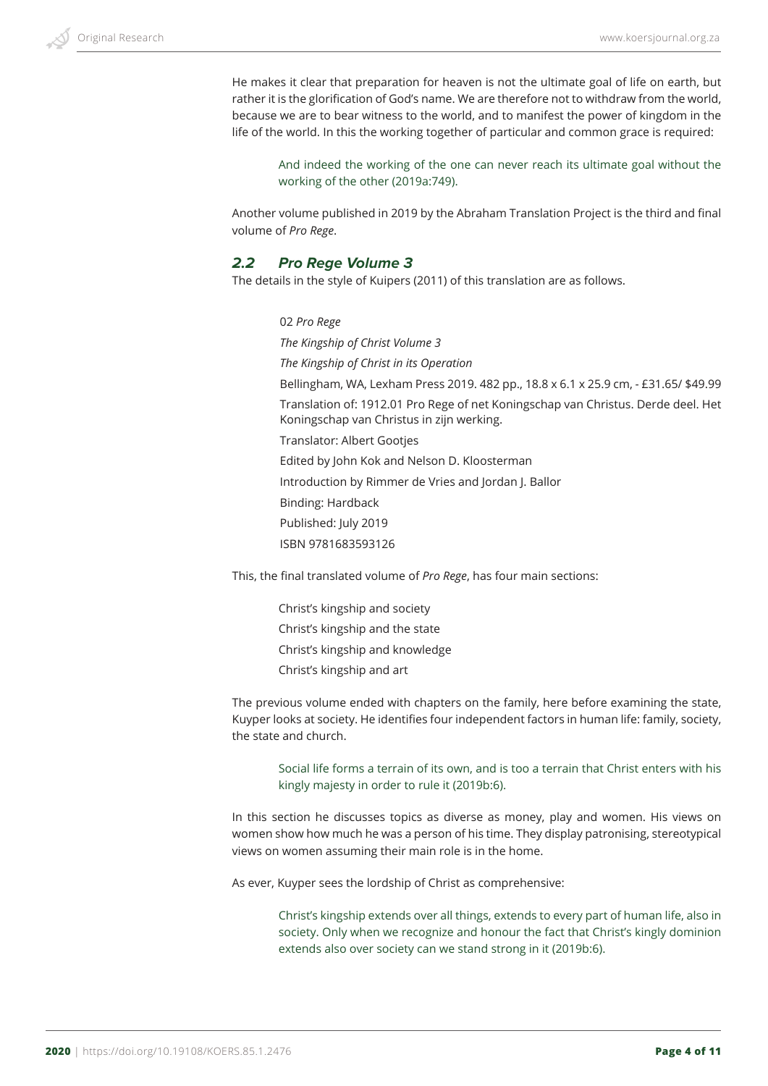He makes it clear that preparation for heaven is not the ultimate goal of life on earth, but rather it is the glorification of God's name. We are therefore not to withdraw from the world, because we are to bear witness to the world, and to manifest the power of kingdom in the life of the world. In this the working together of particular and common grace is required:

And indeed the working of the one can never reach its ultimate goal without the working of the other (2019a:749).

Another volume published in 2019 by the Abraham Translation Project is the third and final volume of *Pro Rege*.

### *2.2 Pro Rege Volume 3*

The details in the style of Kuipers (2011) of this translation are as follows.

02 *Pro Rege The Kingship of Christ Volume 3 The Kingship of Christ in its Operation* Bellingham, WA, Lexham Press 2019. 482 pp., 18.8 x 6.1 x 25.9 cm, - £31.65/ \$49.99 Translation of: 1912.01 Pro Rege of net Koningschap van Christus. Derde deel. Het Koningschap van Christus in zijn werking. Translator: Albert Gootjes Edited by John Kok and Nelson D. Kloosterman Introduction by Rimmer de Vries and Jordan J. Ballor Binding: Hardback Published: July 2019 ISBN 9781683593126

This, the final translated volume of *Pro Rege*, has four main sections:

Christ's kingship and society Christ's kingship and the state Christ's kingship and knowledge Christ's kingship and art

The previous volume ended with chapters on the family, here before examining the state, Kuyper looks at society. He identifies four independent factors in human life: family, society, the state and church.

Social life forms a terrain of its own, and is too a terrain that Christ enters with his kingly majesty in order to rule it (2019b:6).

In this section he discusses topics as diverse as money, play and women. His views on women show how much he was a person of his time. They display patronising, stereotypical views on women assuming their main role is in the home.

As ever, Kuyper sees the lordship of Christ as comprehensive:

Christ's kingship extends over all things, extends to every part of human life, also in society. Only when we recognize and honour the fact that Christ's kingly dominion extends also over society can we stand strong in it (2019b:6).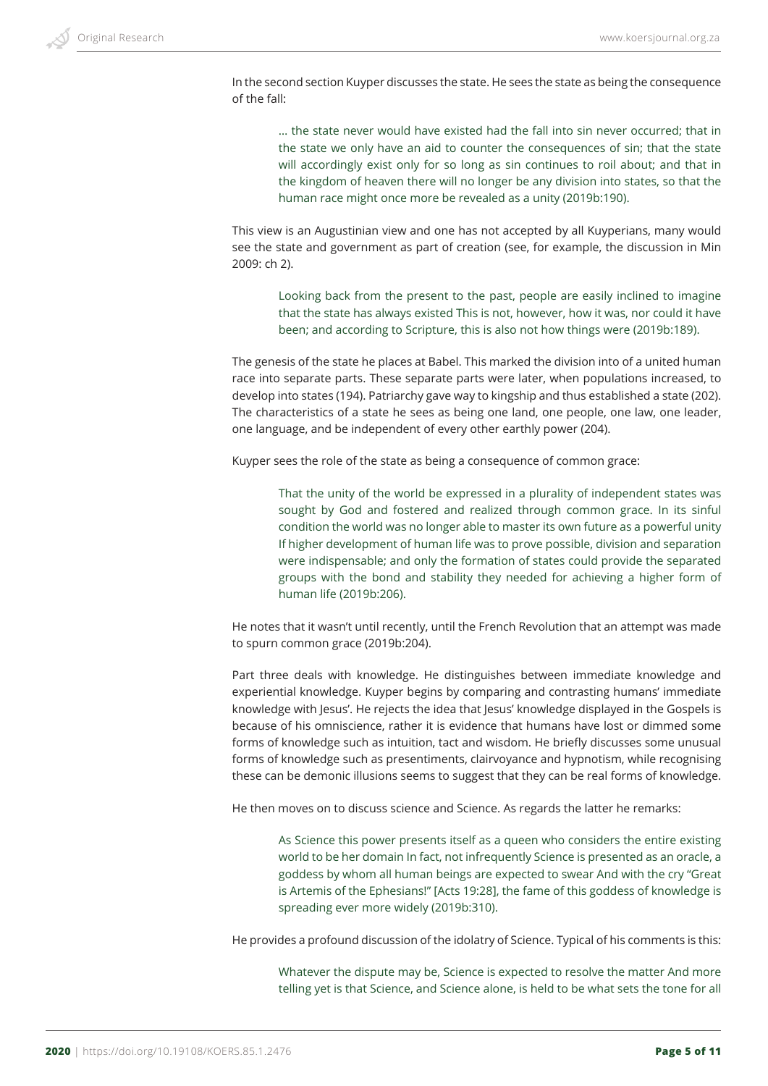In the second section Kuyper discusses the state. He sees the state as being the consequence of the fall:

… the state never would have existed had the fall into sin never occurred; that in the state we only have an aid to counter the consequences of sin; that the state will accordingly exist only for so long as sin continues to roil about; and that in the kingdom of heaven there will no longer be any division into states, so that the human race might once more be revealed as a unity (2019b:190).

This view is an Augustinian view and one has not accepted by all Kuyperians, many would see the state and government as part of creation (see, for example, the discussion in Min 2009: ch 2).

Looking back from the present to the past, people are easily inclined to imagine that the state has always existed This is not, however, how it was, nor could it have been; and according to Scripture, this is also not how things were (2019b:189).

The genesis of the state he places at Babel. This marked the division into of a united human race into separate parts. These separate parts were later, when populations increased, to develop into states (194). Patriarchy gave way to kingship and thus established a state (202). The characteristics of a state he sees as being one land, one people, one law, one leader, one language, and be independent of every other earthly power (204).

Kuyper sees the role of the state as being a consequence of common grace:

That the unity of the world be expressed in a plurality of independent states was sought by God and fostered and realized through common grace. In its sinful condition the world was no longer able to master its own future as a powerful unity If higher development of human life was to prove possible, division and separation were indispensable; and only the formation of states could provide the separated groups with the bond and stability they needed for achieving a higher form of human life (2019b:206).

He notes that it wasn't until recently, until the French Revolution that an attempt was made to spurn common grace (2019b:204).

Part three deals with knowledge. He distinguishes between immediate knowledge and experiential knowledge. Kuyper begins by comparing and contrasting humans' immediate knowledge with Jesus'. He rejects the idea that Jesus' knowledge displayed in the Gospels is because of his omniscience, rather it is evidence that humans have lost or dimmed some forms of knowledge such as intuition, tact and wisdom. He briefly discusses some unusual forms of knowledge such as presentiments, clairvoyance and hypnotism, while recognising these can be demonic illusions seems to suggest that they can be real forms of knowledge.

He then moves on to discuss science and Science. As regards the latter he remarks:

As Science this power presents itself as a queen who considers the entire existing world to be her domain In fact, not infrequently Science is presented as an oracle, a goddess by whom all human beings are expected to swear And with the cry "Great is Artemis of the Ephesians!" [Acts 19:28], the fame of this goddess of knowledge is spreading ever more widely (2019b:310).

He provides a profound discussion of the idolatry of Science. Typical of his comments is this:

Whatever the dispute may be, Science is expected to resolve the matter And more telling yet is that Science, and Science alone, is held to be what sets the tone for all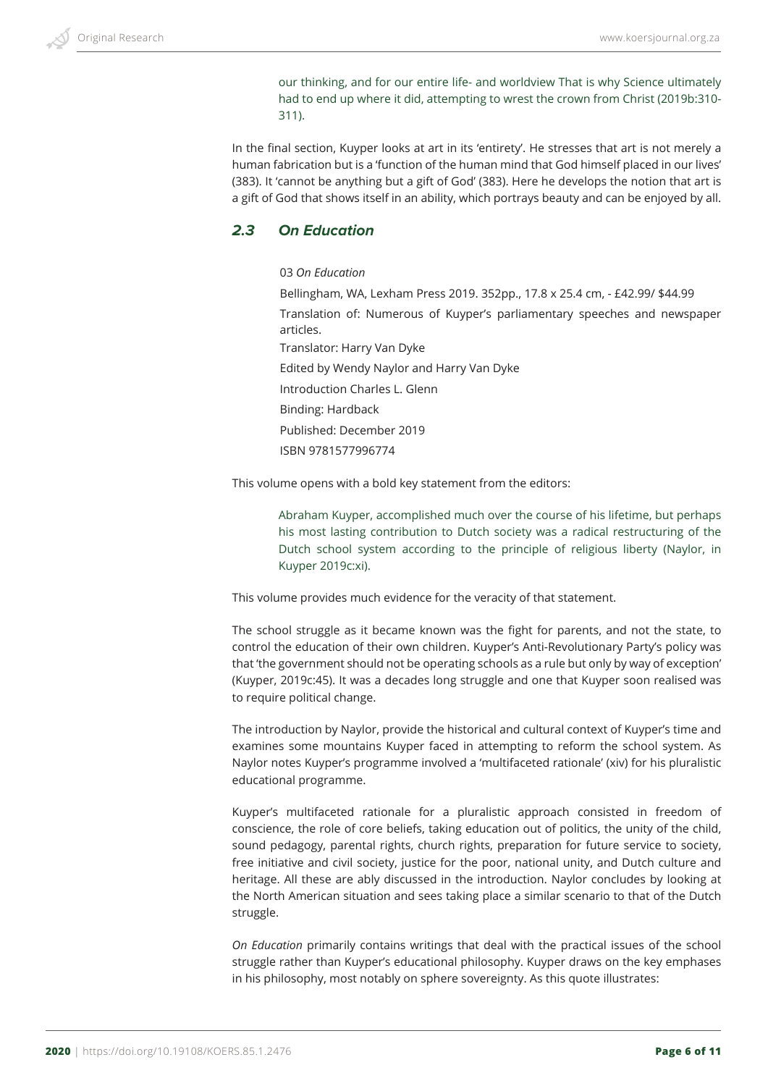our thinking, and for our entire life- and worldview That is why Science ultimately had to end up where it did, attempting to wrest the crown from Christ (2019b:310- 311).

In the final section, Kuyper looks at art in its 'entirety'. He stresses that art is not merely a human fabrication but is a 'function of the human mind that God himself placed in our lives' (383). It 'cannot be anything but a gift of God' (383). Here he develops the notion that art is a gift of God that shows itself in an ability, which portrays beauty and can be enjoyed by all.

### *2.3 On Education*

03 *On Education*

Bellingham, WA, Lexham Press 2019. 352pp., 17.8 x 25.4 cm, - £42.99/ \$44.99 Translation of: Numerous of Kuyper's parliamentary speeches and newspaper articles. Translator: Harry Van Dyke Edited by Wendy Naylor and Harry Van Dyke Introduction Charles L. Glenn Binding: Hardback Published: December 2019 ISBN 9781577996774

This volume opens with a bold key statement from the editors:

Abraham Kuyper, accomplished much over the course of his lifetime, but perhaps his most lasting contribution to Dutch society was a radical restructuring of the Dutch school system according to the principle of religious liberty (Naylor, in Kuyper 2019c:xi).

This volume provides much evidence for the veracity of that statement.

The school struggle as it became known was the fight for parents, and not the state, to control the education of their own children. Kuyper's Anti-Revolutionary Party's policy was that 'the government should not be operating schools as a rule but only by way of exception' (Kuyper, 2019c:45). It was a decades long struggle and one that Kuyper soon realised was to require political change.

The introduction by Naylor, provide the historical and cultural context of Kuyper's time and examines some mountains Kuyper faced in attempting to reform the school system. As Naylor notes Kuyper's programme involved a 'multifaceted rationale' (xiv) for his pluralistic educational programme.

Kuyper's multifaceted rationale for a pluralistic approach consisted in freedom of conscience, the role of core beliefs, taking education out of politics, the unity of the child, sound pedagogy, parental rights, church rights, preparation for future service to society, free initiative and civil society, justice for the poor, national unity, and Dutch culture and heritage. All these are ably discussed in the introduction. Naylor concludes by looking at the North American situation and sees taking place a similar scenario to that of the Dutch struggle.

*On Education* primarily contains writings that deal with the practical issues of the school struggle rather than Kuyper's educational philosophy. Kuyper draws on the key emphases in his philosophy, most notably on sphere sovereignty. As this quote illustrates: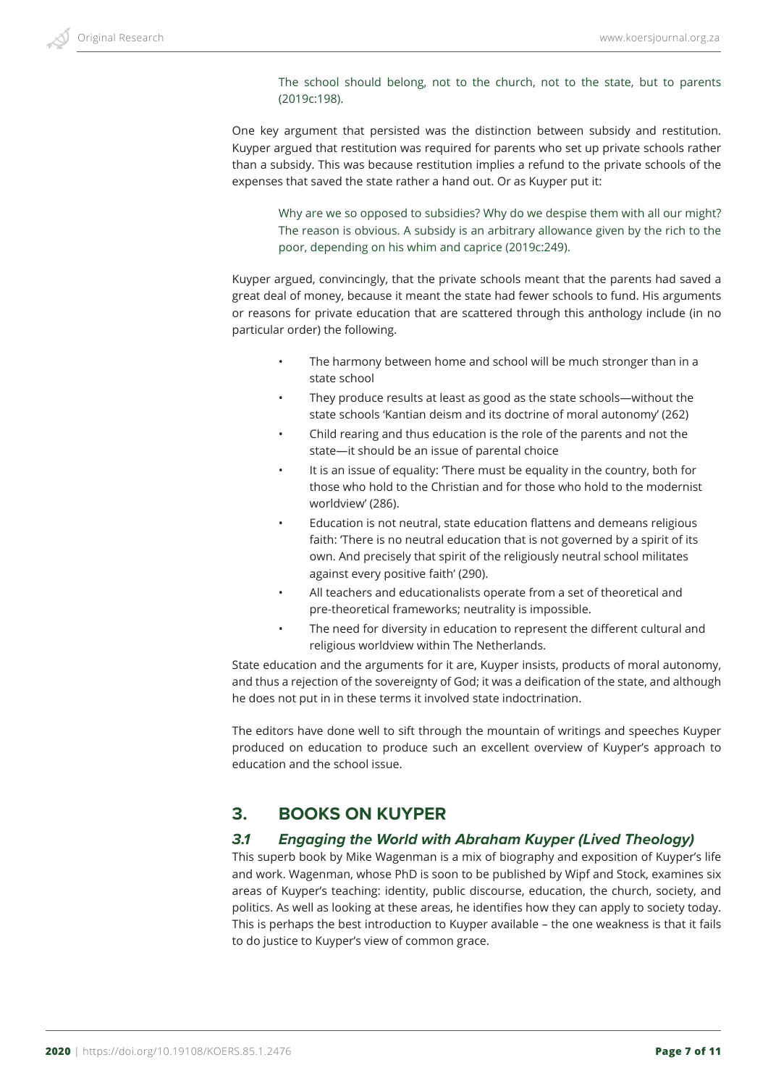The school should belong, not to the church, not to the state, but to parents (2019c:198).

One key argument that persisted was the distinction between subsidy and restitution. Kuyper argued that restitution was required for parents who set up private schools rather than a subsidy. This was because restitution implies a refund to the private schools of the expenses that saved the state rather a hand out. Or as Kuyper put it:

Why are we so opposed to subsidies? Why do we despise them with all our might? The reason is obvious. A subsidy is an arbitrary allowance given by the rich to the poor, depending on his whim and caprice (2019c:249).

Kuyper argued, convincingly, that the private schools meant that the parents had saved a great deal of money, because it meant the state had fewer schools to fund. His arguments or reasons for private education that are scattered through this anthology include (in no particular order) the following.

- The harmony between home and school will be much stronger than in a state school
- They produce results at least as good as the state schools—without the state schools 'Kantian deism and its doctrine of moral autonomy' (262)
- Child rearing and thus education is the role of the parents and not the state—it should be an issue of parental choice
- It is an issue of equality: 'There must be equality in the country, both for those who hold to the Christian and for those who hold to the modernist worldview' (286).
- Education is not neutral, state education flattens and demeans religious faith: 'There is no neutral education that is not governed by a spirit of its own. And precisely that spirit of the religiously neutral school militates against every positive faith' (290).
- All teachers and educationalists operate from a set of theoretical and pre-theoretical frameworks; neutrality is impossible.
- The need for diversity in education to represent the different cultural and religious worldview within The Netherlands.

State education and the arguments for it are, Kuyper insists, products of moral autonomy, and thus a rejection of the sovereignty of God; it was a deification of the state, and although he does not put in in these terms it involved state indoctrination.

The editors have done well to sift through the mountain of writings and speeches Kuyper produced on education to produce such an excellent overview of Kuyper's approach to education and the school issue.

# **3. BOOKS ON KUYPER**

### *3.1 Engaging the World with Abraham Kuyper (Lived Theology)*

This superb book by Mike Wagenman is a mix of biography and exposition of Kuyper's life and work. Wagenman, whose PhD is soon to be published by Wipf and Stock, examines six areas of Kuyper's teaching: identity, public discourse, education, the church, society, and politics. As well as looking at these areas, he identifies how they can apply to society today. This is perhaps the best introduction to Kuyper available – the one weakness is that it fails to do justice to Kuyper's view of common grace.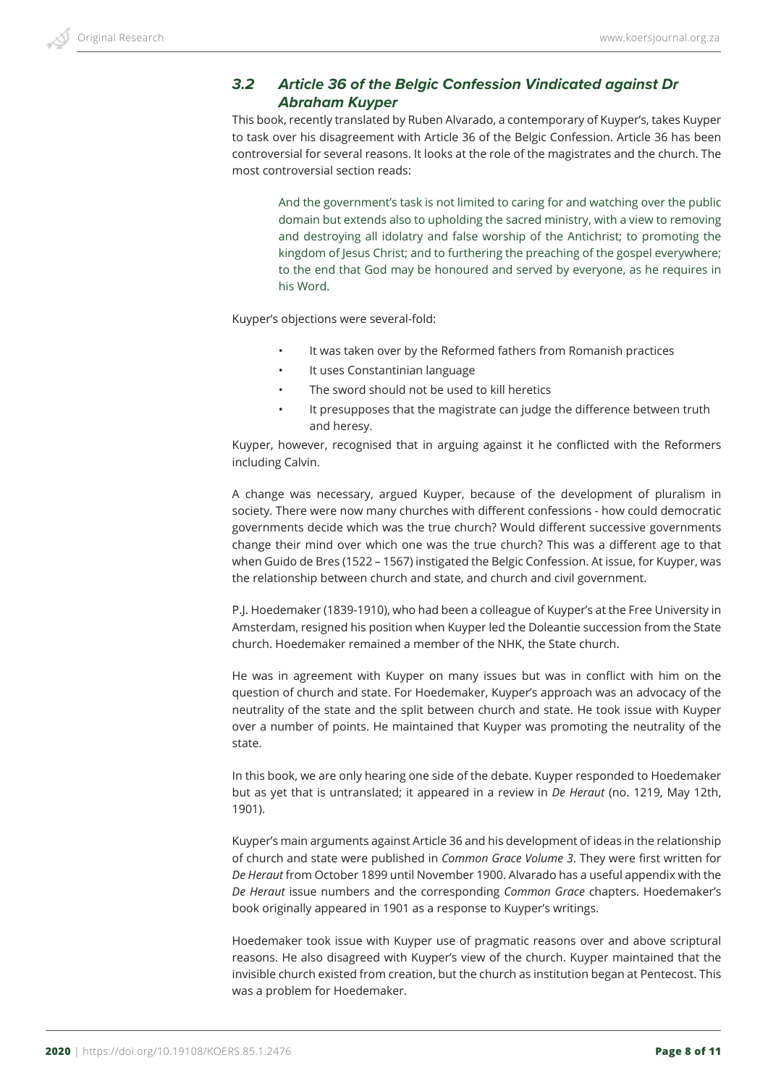# *3.2 Article 36 of the Belgic Confession Vindicated against Dr Abraham Kuyper*

This book, recently translated by Ruben Alvarado, a contemporary of Kuyper's, takes Kuyper to task over his disagreement with Article 36 of the Belgic Confession. Article 36 has been controversial for several reasons. It looks at the role of the magistrates and the church. The most controversial section reads:

And the government's task is not limited to caring for and watching over the public domain but extends also to upholding the sacred ministry, with a view to removing and destroying all idolatry and false worship of the Antichrist; to promoting the kingdom of Jesus Christ; and to furthering the preaching of the gospel everywhere; to the end that God may be honoured and served by everyone, as he requires in his Word.

Kuyper's objections were several-fold:

- It was taken over by the Reformed fathers from Romanish practices
- It uses Constantinian language
- The sword should not be used to kill heretics
- It presupposes that the magistrate can judge the difference between truth and heresy.

Kuyper, however, recognised that in arguing against it he conflicted with the Reformers including Calvin.

A change was necessary, argued Kuyper, because of the development of pluralism in society. There were now many churches with different confessions - how could democratic governments decide which was the true church? Would different successive governments change their mind over which one was the true church? This was a different age to that when Guido de Bres (1522 – 1567) instigated the Belgic Confession. At issue, for Kuyper, was the relationship between church and state, and church and civil government.

P.J. Hoedemaker (1839-1910), who had been a colleague of Kuyper's at the Free University in Amsterdam, resigned his position when Kuyper led the Doleantie succession from the State church. Hoedemaker remained a member of the NHK, the State church.

He was in agreement with Kuyper on many issues but was in conflict with him on the question of church and state. For Hoedemaker, Kuyper's approach was an advocacy of the neutrality of the state and the split between church and state. He took issue with Kuyper over a number of points. He maintained that Kuyper was promoting the neutrality of the state.

In this book, we are only hearing one side of the debate. Kuyper responded to Hoedemaker but as yet that is untranslated; it appeared in a review in *De Heraut* (no. 1219, May 12th, 1901).

Kuyper's main arguments against Article 36 and his development of ideas in the relationship of church and state were published in *Common Grace Volume 3*. They were first written for *De Heraut* from October 1899 until November 1900. Alvarado has a useful appendix with the *De Heraut* issue numbers and the corresponding *Common Grace* chapters. Hoedemaker's book originally appeared in 1901 as a response to Kuyper's writings.

Hoedemaker took issue with Kuyper use of pragmatic reasons over and above scriptural reasons. He also disagreed with Kuyper's view of the church. Kuyper maintained that the invisible church existed from creation, but the church as institution began at Pentecost. This was a problem for Hoedemaker.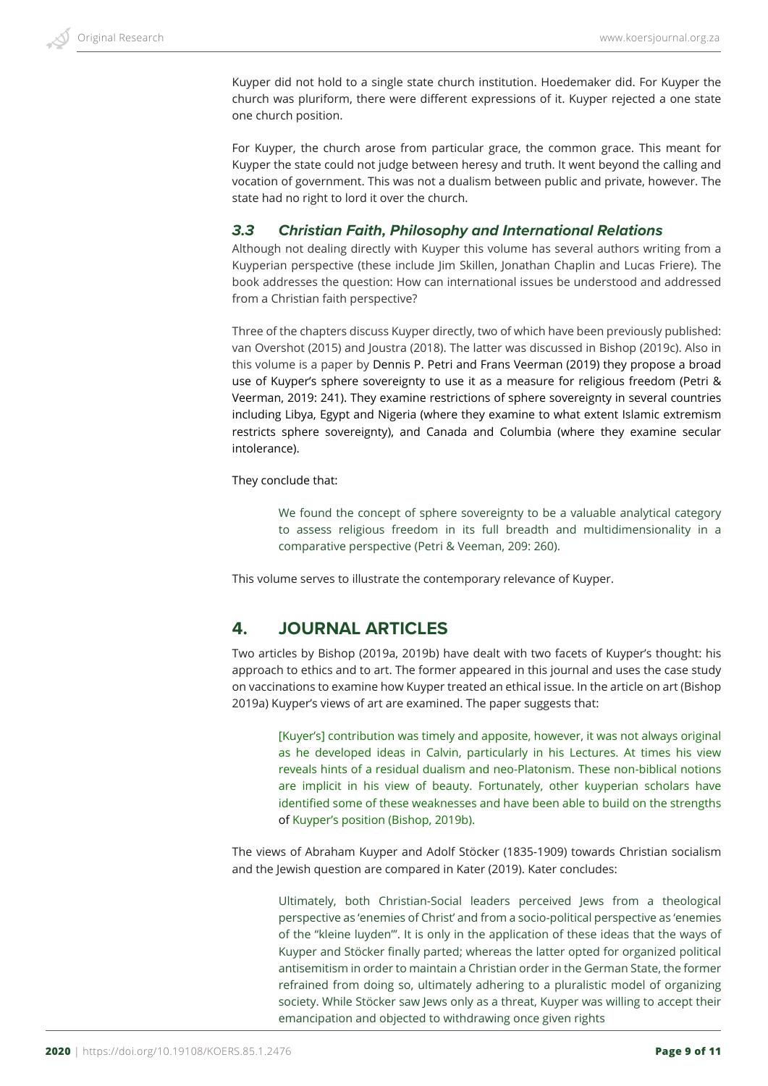Kuyper did not hold to a single state church institution. Hoedemaker did. For Kuyper the church was pluriform, there were different expressions of it. Kuyper rejected a one state one church position.

For Kuyper, the church arose from particular grace, the common grace. This meant for Kuyper the state could not judge between heresy and truth. It went beyond the calling and vocation of government. This was not a dualism between public and private, however. The state had no right to lord it over the church.

#### *3.3 Christian Faith, Philosophy and International Relations*

Although not dealing directly with Kuyper this volume has several authors writing from a Kuyperian perspective (these include Jim Skillen, Jonathan Chaplin and Lucas Friere). The book addresses the question: How can international issues be understood and addressed from a Christian faith perspective?

Three of the chapters discuss Kuyper directly, two of which have been previously published: van Overshot (2015) and Joustra (2018). The latter was discussed in Bishop (2019c). Also in this volume is a paper by Dennis P. Petri and Frans Veerman (2019) they propose a broad use of Kuyper's sphere sovereignty to use it as a measure for religious freedom (Petri & Veerman, 2019: 241). They examine restrictions of sphere sovereignty in several countries including Libya, Egypt and Nigeria (where they examine to what extent Islamic extremism restricts sphere sovereignty), and Canada and Columbia (where they examine secular intolerance).

They conclude that:

We found the concept of sphere sovereignty to be a valuable analytical category to assess religious freedom in its full breadth and multidimensionality in a comparative perspective (Petri & Veeman, 209: 260).

This volume serves to illustrate the contemporary relevance of Kuyper.

# **4. JOURNAL ARTICLES**

Two articles by Bishop (2019a, 2019b) have dealt with two facets of Kuyper's thought: his approach to ethics and to art. The former appeared in this journal and uses the case study on vaccinations to examine how Kuyper treated an ethical issue. In the article on art (Bishop 2019a) Kuyper's views of art are examined. The paper suggests that:

[Kuyer's] contribution was timely and apposite, however, it was not always original as he developed ideas in Calvin, particularly in his Lectures. At times his view reveals hints of a residual dualism and neo-Platonism. These non-biblical notions are implicit in his view of beauty. Fortunately, other kuyperian scholars have identified some of these weaknesses and have been able to build on the strengths of Kuyper's position (Bishop, 2019b).

The views of Abraham Kuyper and Adolf Stöcker (1835-1909) towards Christian socialism and the Jewish question are compared in Kater (2019). Kater concludes:

Ultimately, both Christian-Social leaders perceived Jews from a theological perspective as 'enemies of Christ' and from a socio-political perspective as 'enemies of the "kleine luyden"'. It is only in the application of these ideas that the ways of Kuyper and Stöcker finally parted; whereas the latter opted for organized political antisemitism in order to maintain a Christian order in the German State, the former refrained from doing so, ultimately adhering to a pluralistic model of organizing society. While Stöcker saw Jews only as a threat, Kuyper was willing to accept their emancipation and objected to withdrawing once given rights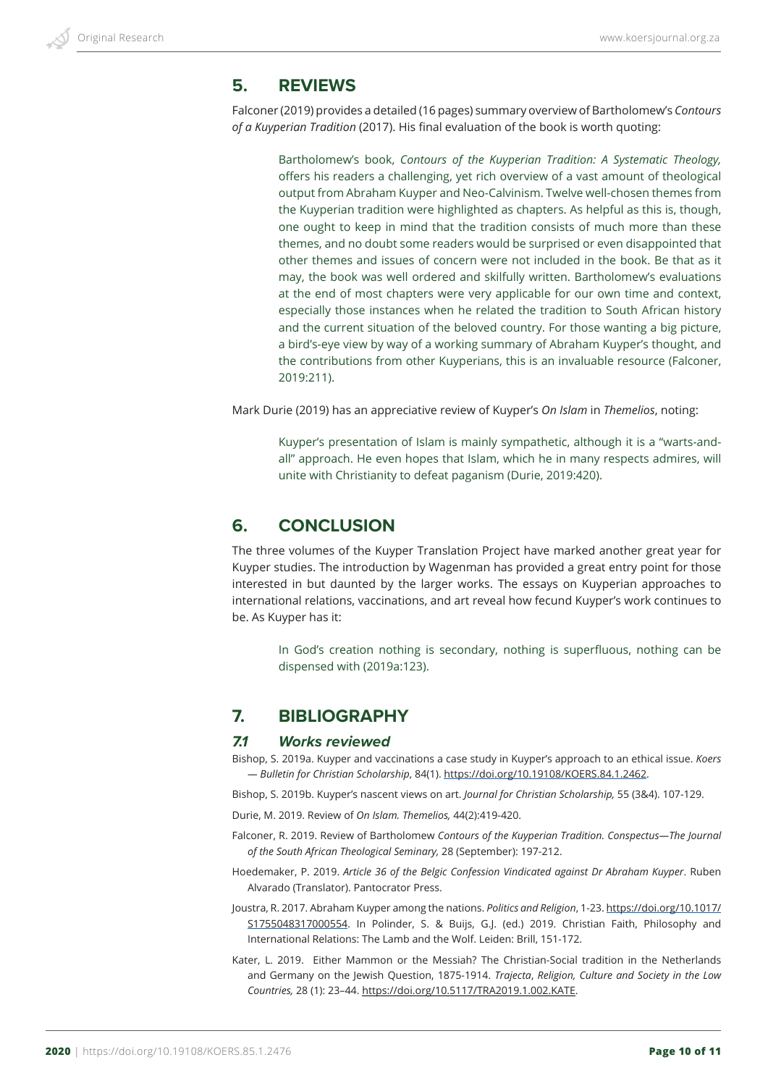### **5. REVIEWS**

Falconer (2019) provides a detailed (16 pages) summary overview of Bartholomew's *Contours of a Kuyperian Tradition* (2017). His final evaluation of the book is worth quoting:

Bartholomew's book, *Contours of the Kuyperian Tradition: A Systematic Theology,* offers his readers a challenging, yet rich overview of a vast amount of theological output from Abraham Kuyper and Neo-Calvinism. Twelve well-chosen themes from the Kuyperian tradition were highlighted as chapters. As helpful as this is, though, one ought to keep in mind that the tradition consists of much more than these themes, and no doubt some readers would be surprised or even disappointed that other themes and issues of concern were not included in the book. Be that as it may, the book was well ordered and skilfully written. Bartholomew's evaluations at the end of most chapters were very applicable for our own time and context, especially those instances when he related the tradition to South African history and the current situation of the beloved country. For those wanting a big picture, a bird's-eye view by way of a working summary of Abraham Kuyper's thought, and the contributions from other Kuyperians, this is an invaluable resource (Falconer, 2019:211).

Mark Durie (2019) has an appreciative review of Kuyper's *On Islam* in *Themelios*, noting:

Kuyper's presentation of Islam is mainly sympathetic, although it is a "warts-andall" approach. He even hopes that Islam, which he in many respects admires, will unite with Christianity to defeat paganism (Durie, 2019:420).

## **6. CONCLUSION**

The three volumes of the Kuyper Translation Project have marked another great year for Kuyper studies. The introduction by Wagenman has provided a great entry point for those interested in but daunted by the larger works. The essays on Kuyperian approaches to international relations, vaccinations, and art reveal how fecund Kuyper's work continues to be. As Kuyper has it:

In God's creation nothing is secondary, nothing is superfluous, nothing can be dispensed with (2019a:123).

## **7. BIBLIOGRAPHY**

#### *7.1 Works reviewed*

Bishop, S. 2019a. Kuyper and vaccinations a case study in Kuyper's approach to an ethical issue. *Koers — Bulletin for Christian Scholarship*, 84(1). https://doi.org/10.19108/KOERS.84.1.2462.

Bishop, S. 2019b. Kuyper's nascent views on art. *Journal for Christian Scholarship,* 55 (3&4). 107-129.

Durie, M. 2019. Review of *On Islam. Themelios,* 44(2):419-420.

- Falconer, R. 2019. Review of Bartholomew *Contours of the Kuyperian Tradition. Conspectus—The Journal of the South African Theological Seminary,* 28 (September): 197-212.
- Hoedemaker, P. 2019. *Article 36 of the Belgic Confession Vindicated against Dr Abraham Kuyper*. Ruben Alvarado (Translator). Pantocrator Press.
- Joustra, R. 2017. Abraham Kuyper among the nations. *Politics and Religion*, 1-23. https://doi.org/10.1017/ S1755048317000554. In Polinder, S. & Buijs, G.J. (ed.) 2019. Christian Faith, Philosophy and International Relations: The Lamb and the Wolf. Leiden: Brill, 151-172.
- Kater, L. 2019. Either Mammon or the Messiah? The Christian-Social tradition in the Netherlands and Germany on the Jewish Question, 1875-1914. *Trajecta*, *Religion, Culture and Society in the Low Countries,* 28 (1): 23–44. https://doi.org/10.5117/TRA2019.1.002.KATE.